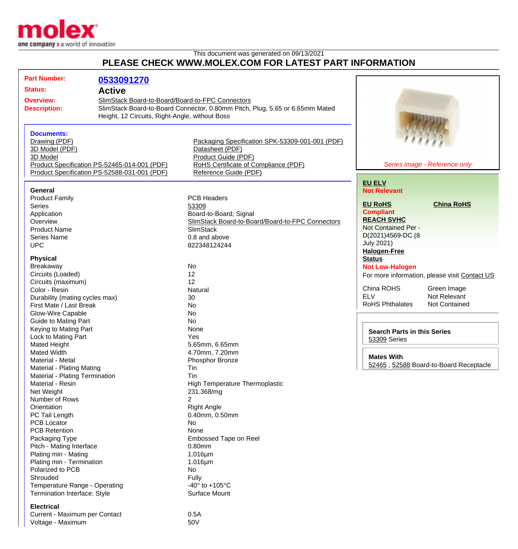

Voltage - Maximum 60V

This document was generated on 09/13/2021 **PLEASE CHECK WWW.MOLEX.COM FOR LATEST PART INFORMATION**

| <b>Part Number:</b>                          | 0533091270                                                                                                                                                                                                |                                                                            |                                                    |                                               |
|----------------------------------------------|-----------------------------------------------------------------------------------------------------------------------------------------------------------------------------------------------------------|----------------------------------------------------------------------------|----------------------------------------------------|-----------------------------------------------|
| <b>Status:</b>                               | <b>Active</b>                                                                                                                                                                                             |                                                                            |                                                    |                                               |
|                                              |                                                                                                                                                                                                           |                                                                            |                                                    |                                               |
| <b>Overview:</b>                             | SlimStack Board-to-Board/Board-to-FPC Connectors<br>SlimStack Board-to-Board Connector, 0.80mm Pitch, Plug, 5.65 or 6.65mm Mated<br><b>Description:</b><br>Height, 12 Circuits, Right-Angle, without Boss |                                                                            |                                                    |                                               |
|                                              |                                                                                                                                                                                                           |                                                                            |                                                    |                                               |
|                                              |                                                                                                                                                                                                           |                                                                            |                                                    |                                               |
|                                              |                                                                                                                                                                                                           |                                                                            |                                                    |                                               |
| <b>Documents:</b>                            |                                                                                                                                                                                                           |                                                                            |                                                    |                                               |
| Drawing (PDF)                                |                                                                                                                                                                                                           | Packaging Specification SPK-53309-001-001 (PDF)                            |                                                    |                                               |
| 3D Model (PDF)<br>3D Model                   |                                                                                                                                                                                                           | Datasheet (PDF)<br>Product Guide (PDF)                                     |                                                    |                                               |
| Product Specification PS-52465-014-001 (PDF) |                                                                                                                                                                                                           | Series image - Reference only<br>RoHS Certificate of Compliance (PDF)      |                                                    |                                               |
| Product Specification PS-52588-031-001 (PDF) |                                                                                                                                                                                                           | Reference Guide (PDF)                                                      |                                                    |                                               |
|                                              |                                                                                                                                                                                                           |                                                                            |                                                    |                                               |
|                                              |                                                                                                                                                                                                           |                                                                            | <b>EU ELV</b>                                      |                                               |
| <b>General</b>                               |                                                                                                                                                                                                           |                                                                            | <b>Not Relevant</b>                                |                                               |
| <b>Product Family</b>                        |                                                                                                                                                                                                           | <b>PCB Headers</b>                                                         | <b>EU RoHS</b>                                     | <b>China RoHS</b>                             |
| <b>Series</b>                                |                                                                                                                                                                                                           | 53309                                                                      | <b>Compliant</b>                                   |                                               |
| Application                                  |                                                                                                                                                                                                           | Board-to-Board, Signal<br>SlimStack Board-to-Board/Board-to-FPC Connectors | <b>REACH SVHC</b>                                  |                                               |
| Overview<br><b>Product Name</b>              |                                                                                                                                                                                                           |                                                                            | Not Contained Per -                                |                                               |
| Series Name                                  |                                                                                                                                                                                                           | <b>SlimStack</b><br>0.8 and above                                          | D(2021)4569-DC (8                                  |                                               |
| <b>UPC</b>                                   |                                                                                                                                                                                                           | 822348124244                                                               | <b>July 2021)</b>                                  |                                               |
|                                              |                                                                                                                                                                                                           |                                                                            | <b>Halogen-Free</b>                                |                                               |
| <b>Physical</b>                              |                                                                                                                                                                                                           |                                                                            | <b>Status</b>                                      |                                               |
| Breakaway                                    |                                                                                                                                                                                                           | No                                                                         | <b>Not Low-Halogen</b>                             |                                               |
| Circuits (Loaded)                            |                                                                                                                                                                                                           | 12                                                                         |                                                    | For more information, please visit Contact US |
| Circuits (maximum)                           |                                                                                                                                                                                                           | 12                                                                         |                                                    |                                               |
| Color - Resin                                |                                                                                                                                                                                                           | Natural                                                                    | China ROHS                                         | Green Image                                   |
| Durability (mating cycles max)               |                                                                                                                                                                                                           | 30                                                                         | <b>ELV</b>                                         | Not Relevant                                  |
| First Mate / Last Break                      |                                                                                                                                                                                                           | <b>No</b>                                                                  | <b>RoHS Phthalates</b>                             | Not Contained                                 |
| Glow-Wire Capable                            |                                                                                                                                                                                                           | <b>No</b>                                                                  |                                                    |                                               |
| Guide to Mating Part                         |                                                                                                                                                                                                           | <b>No</b>                                                                  |                                                    |                                               |
| Keying to Mating Part                        |                                                                                                                                                                                                           | None                                                                       |                                                    |                                               |
| Lock to Mating Part                          |                                                                                                                                                                                                           | Yes                                                                        | <b>Search Parts in this Series</b><br>53309 Series |                                               |
| Mated Height                                 |                                                                                                                                                                                                           | 5.65mm, 6.65mm                                                             |                                                    |                                               |
| <b>Mated Width</b>                           |                                                                                                                                                                                                           | 4.70mm, 7.20mm                                                             |                                                    |                                               |
| Material - Metal                             |                                                                                                                                                                                                           | Phosphor Bronze                                                            | <b>Mates With</b>                                  |                                               |
| Material - Plating Mating                    |                                                                                                                                                                                                           | Tin                                                                        |                                                    | 52465, 52588 Board-to-Board Receptacle        |
| Material - Plating Termination               |                                                                                                                                                                                                           | Tin                                                                        |                                                    |                                               |
| Material - Resin                             |                                                                                                                                                                                                           | <b>High Temperature Thermoplastic</b>                                      |                                                    |                                               |
| Net Weight                                   |                                                                                                                                                                                                           | 231.368/mg                                                                 |                                                    |                                               |
| Number of Rows                               |                                                                                                                                                                                                           | 2                                                                          |                                                    |                                               |
| Orientation                                  |                                                                                                                                                                                                           | <b>Right Angle</b>                                                         |                                                    |                                               |
| PC Tail Length                               |                                                                                                                                                                                                           | 0.40mm, 0.50mm                                                             |                                                    |                                               |
| <b>PCB Locator</b>                           |                                                                                                                                                                                                           | No                                                                         |                                                    |                                               |
| <b>PCB Retention</b>                         |                                                                                                                                                                                                           | None                                                                       |                                                    |                                               |
| Packaging Type                               |                                                                                                                                                                                                           | Embossed Tape on Reel                                                      |                                                    |                                               |
| Pitch - Mating Interface                     |                                                                                                                                                                                                           | 0.80mm                                                                     |                                                    |                                               |
| Plating min - Mating                         |                                                                                                                                                                                                           | $1.016 \mu m$                                                              |                                                    |                                               |
| Plating min - Termination                    |                                                                                                                                                                                                           | $1.016 \mu m$                                                              |                                                    |                                               |
| Polarized to PCB                             |                                                                                                                                                                                                           | No                                                                         |                                                    |                                               |
| Shrouded                                     |                                                                                                                                                                                                           | Fully                                                                      |                                                    |                                               |
| Temperature Range - Operating                |                                                                                                                                                                                                           | -40 $\degree$ to +105 $\degree$ C                                          |                                                    |                                               |
| Termination Interface: Style                 |                                                                                                                                                                                                           | Surface Mount                                                              |                                                    |                                               |
| <b>Electrical</b>                            |                                                                                                                                                                                                           |                                                                            |                                                    |                                               |
|                                              |                                                                                                                                                                                                           | 0.5A                                                                       |                                                    |                                               |
| Current - Maximum per Contact                |                                                                                                                                                                                                           |                                                                            |                                                    |                                               |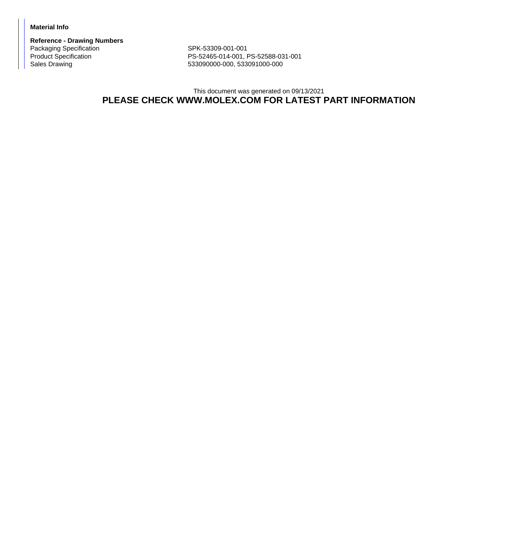## **Material Info**

**Reference - Drawing Numbers** Packaging Specification SPK-53309-001-001<br>Product Specification SPK-52465-014-001, F

PS-52465-014-001, PS-52588-031-001 Sales Drawing 633090000-000, 533091000-000, 533091000-000

## This document was generated on 09/13/2021 **PLEASE CHECK WWW.MOLEX.COM FOR LATEST PART INFORMATION**